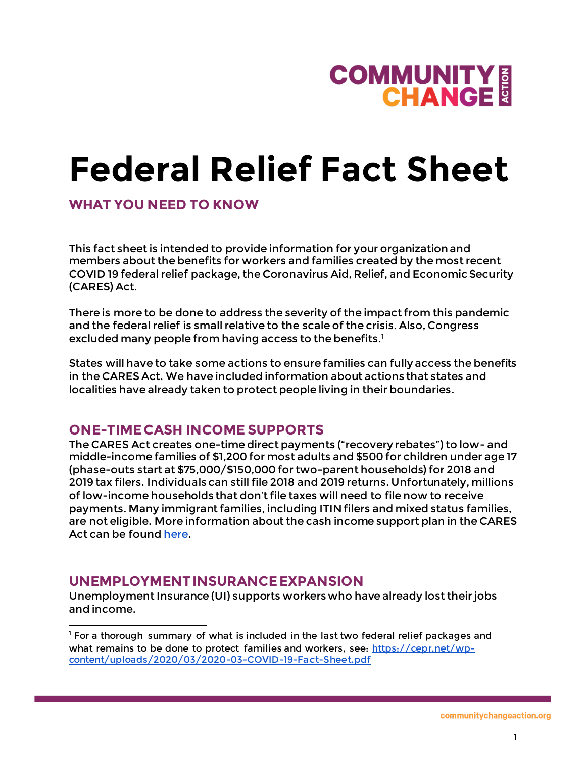

### **Federal Relief Fact Sheet**

#### **WHAT YOU NEED TO KNOW**

This fact sheet is intended to provide information for your organization and members about the benefits for workers and families created by the most recent COVID 19 federal relief package, the Coronavirus Aid, Relief, and Economic Security (CARES) Act.

There is more to be done to address the severity of the impact from this pandemic and the federal relief is small relative to the scale of the crisis. Also, Congress excluded many people from having access to the benefits. $^1$ 

States will have to take some actions to ensure families can fully access the benefits in the CARES Act. We have included information about actions that states and localities have already taken to protect people living in their boundaries.

#### **ONE-TIME CASH INCOME SUPPORTS**

The CARES Act creates one-time direct payments ("recovery rebates") to low- and middle-income families of \$1,200 for most adults and \$500 for children under age 17 (phase-outs start at \$75,000/\$150,000 for two-parent households) for 2018 and 2019 tax filers. Individuals can still file 2018 and 2019 returns. Unfortunately, millions of low-income households that don't file taxes will need to file now to receive payments. Many immigrant families, including ITIN filers and mixed status families, are not eligible. More information about the cash income support plan in the CARES Act can be foun[d here.](https://www.cbpp.org/research/economy/cares-act-includes-essential-measures-to-respond-to-public-health-economic-crises)

#### **UNEMPLOYMENT INSURANCE EXPANSION**

j

Unemployment Insurance (UI) supports workers who have already lost their jobs and income.

<sup>&</sup>lt;sup>1</sup> For a thorough summary of what is included in the last two federal relief packages and what remains to be done to protect families and workers, see: [https://cepr.net/wp](https://cepr.net/wp-content/uploads/2020/03/2020-03-COVID-19-Fact-Sheet.pdf)[content/uploads/2020/03/2020-03-COVID-19-Fact-Sheet.pdf](https://cepr.net/wp-content/uploads/2020/03/2020-03-COVID-19-Fact-Sheet.pdf)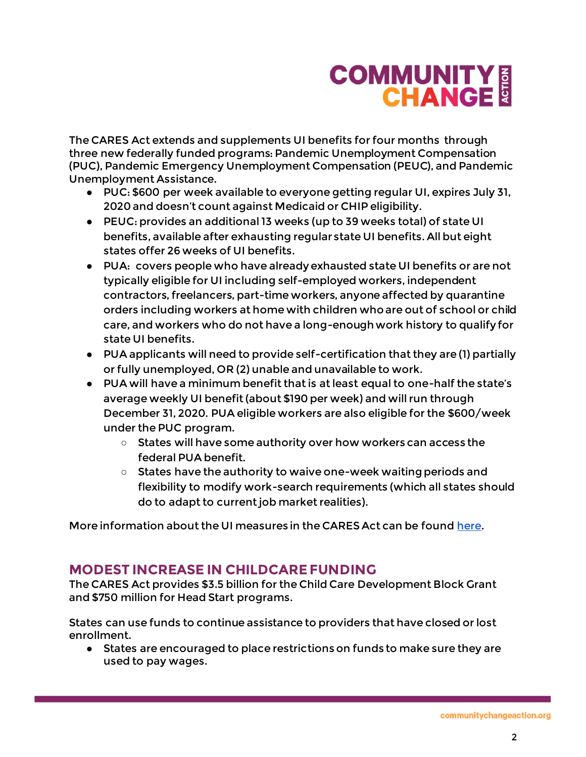# **COMMUNITY E**<br>CHANGE &

The CARES Act extends and supplements UI benefits for four months through three new federally funded programs: Pandemic Unemployment Compensation (PUC), Pandemic Emergency Unemployment Compensation (PEUC), and Pandemic Unemployment Assistance.

- PUC: \$600 per week available to everyone getting regular UI, expires July 31, 2020 and doesn't count against Medicaid or CHIP eligibility.
- PEUC: provides an additional 13 weeks (up to 39 weeks total) of state UI benefits, available after exhausting regular state UI benefits. All but eight states offer 26 weeks of UI benefits.
- PUA: covers people who have already exhausted state UI benefits or are not typically eligible for UI including self-employed workers, independent contractors, freelancers, part-time workers, anyone affected by quarantine orders including workers at home with children who are out of school or child care, and workers who do not have a long-enough work history to qualify for state UI benefits.
- PUA applicants will need to provide self-certification that they are (1) partially or fully unemployed, OR (2) unable and unavailable to work.
- PUA will have a minimum benefit that is at least equal to one-half the state's average weekly UI benefit (about \$190 per week) and will run through December 31, 2020. PUA eligible workers are also eligible for the \$600/week under the PUC program.
	- States will have some authority over how workers can access the federal PUA benefit.
	- States have the authority to waive one-week waiting periods and flexibility to modify work-search requirements (which all states should do to adapt to current job market realities).

More information about the UI measures in the CARES Act can be foun[d here](https://www.nelp.org/publication/unemployment-insurance-provisions-coronavirus-aid-relief-economic-security-cares-act/).

### **MODEST INCREASE IN CHILDCARE FUNDING**

The CARES Act provides \$3.5 billion for the Child Care Development Block Grant and \$750 million for Head Start programs.

States can use funds to continue assistance to providers that have closed or lost enrollment.

● States are encouraged to place restrictions on funds to make sure they are used to pay wages.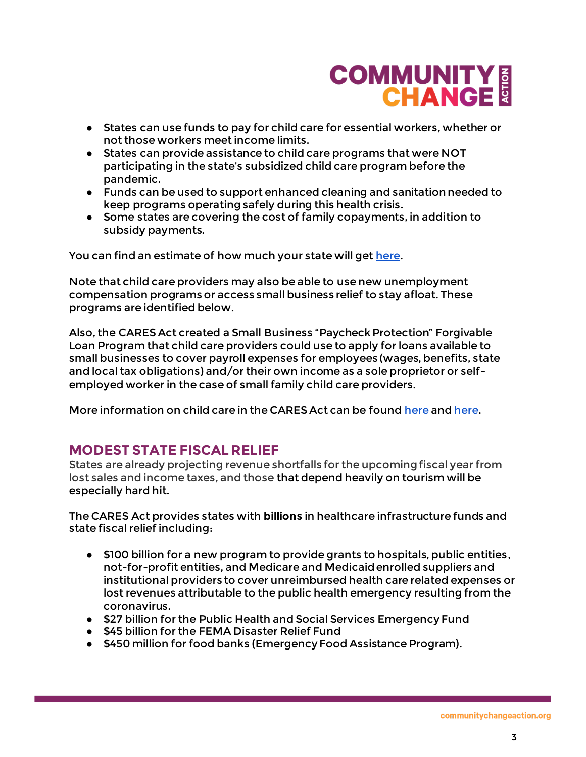### **COMMUNITY E**<br>CHANGE

- States can use funds to pay for child care for essential workers, whether or not those workers meet income limits.
- States can provide assistance to child care programs that were NOT participating in the state's subsidized child care program before the pandemic.
- Funds can be used to support enhanced cleaning and sanitation needed to keep programs operating safely during this health crisis.
- Some states are covering the cost of family copayments, in addition to subsidy payments.

You can find an estimate of how much your state will ge[t here.](https://www.clasp.org/sites/default/files/publications/2020/03/2020_3.5billionchildcarecoronaviruspackage.pdf)

Note that child care providers may also be able to use new unemployment compensation programs or access small business relief to stay afloat. These programs are identified below.

Also, the CARES Act created a Small Business "Paycheck Protection" Forgivable Loan Program that child care providers could use to apply for loans available to small businesses to cover payroll expenses for employees (wages, benefits, state and local tax obligations) and/or their own income as a sole proprietor or selfemployed worker in the case of small family child care providers.

More information on child care in the CARES Act can be foun[d here](https://nwlc-ciw49tixgw5lbab.stackpathdns.com/wp-content/uploads/2020/03/SUPPORTING-HOME-BASED-CHILD-CARE-PROVIDERS-.pdf) and here.

### **MODEST STATE FISCAL RELIEF**

States are already projecting revenue shortfalls for the upcoming fiscal year from lost sales and income taxes, and those that depend heavily on tourism will be especially hard hit.

The CARES Act provides states with **billions** in healthcare infrastructure funds and state fiscal relief including:

- \$100 billion for a new program to provide grants to hospitals, public entities, not-for-profit entities, and Medicare and Medicaid enrolled suppliers and institutional providers to cover unreimbursed health care related expenses or lost revenues attributable to the public health emergency resulting from the coronavirus.
- \$27 billion for the Public Health and Social Services Emergency Fund
- \$45 billion for the FEMA Disaster Relief Fund
- \$450 million for food banks (Emergency Food Assistance Program).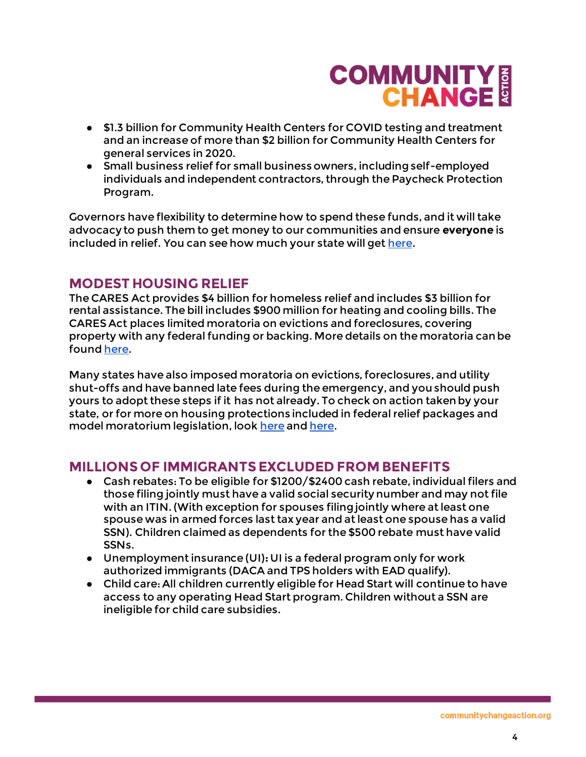### **COMMUNITY E**<br>CHANGE

- \$1.3 billion for Community Health Centers for COVID testing and treatment and an increase of more than \$2 billion for Community Health Centers for general services in 2020.
- Small business relief for small business owners, including self-employed individuals and independent contractors, through the Paycheck Protection Program.

Governors have flexibility to determine how to spend these funds, and it will take advocacy to push them to get money to our communities and ensure **everyone** is included in relief. You can see how much your state will ge[t here.](https://www.cbpp.org/research/how-much-each-state-will-receive-from-the-coronavirus-relief-fund-in-the-cares-act)

### **MODEST HOUSING RELIEF**

The CARES Act provides \$4 billion for homeless relief and includes \$3 billion for rental assistance. The bill includes \$900 million for heating and cooling bills. The CARES Act places limited moratoria on evictions and foreclosures, covering property with any federal funding or backing. More details on the moratoria can be foun[d here.](https://www.nhlp.org/wp-content/uploads/2020.03.27-NHLP-CARES-Act-Eviction-Moratorium-Summary.pdf)

Many states have also imposed moratoria on evictions, foreclosures, and utility shut-offs and have banned late fees during the emergency, and you should push yours to adopt these steps if it has not already. To check on action taken by your state, or for more on housing protections included in federal relief packages and model moratorium legislation, loo[k here](https://www.nhlp.org/campaign/protecting-renter-and-homeowner-rights-during-our-national-health-crisis-2/) an[d here](https://nlchp.org/coronavirus/).

### **MILLIONS OF IMMIGRANTS EXCLUDED FROM BENEFITS**

- Cash rebates: To be eligible for \$1200/\$2400 cash rebate, individual filers and those filing jointly must have a valid social security number and may not file with an ITIN. (With exception for spouses filing jointly where at least one spouse was in armed forces last tax year and at least one spouse has a valid SSN). Children claimed as dependents for the \$500 rebate must have valid SSNs.
- Unemployment insurance (UI)**:** UI is a federal program only for work authorized immigrants (DACA and TPS holders with EAD qualify).
- Child care: All children currently eligible for Head Start will continue to have access to any operating Head Start program. Children without a SSN are ineligible for child care subsidies.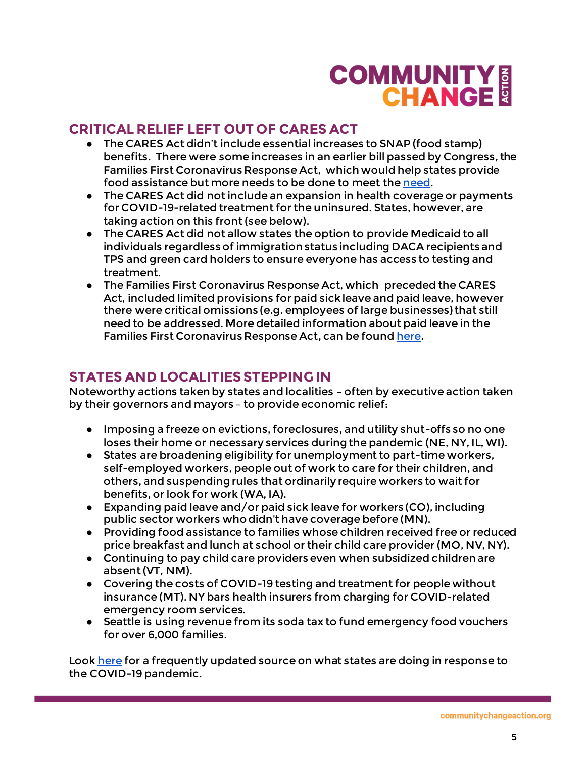# **COMMUNITY E**<br>CHANGE &

### **CRITICAL RELIEF LEFT OUT OF CARES ACT**

- The CARES Act didn't include essential increases to SNAP (food stamp) benefits. There were some increases in an earlier bill passed by Congress, the Families First Coronavirus Response Act, which would help states provide food assistance but more needs to be done to meet th[e need.](https://www.cbpp.org/research/food-assistance/usda-states-must-act-swiftly-to-deliver-food-assistance-allowed-by-families)
- The CARES Act did not include an expansion in health coverage or payments for COVID-19-related treatment for the uninsured. States, however, are taking action on this front (see below).
- The CARES Act did not allow states the option to provide Medicaid to all individuals regardless of immigration status including DACA recipients and TPS and green card holders to ensure everyone has access to testing and treatment.
- The Families First Coronavirus Response Act, which preceded the CARES Act, included limited provisions for paid sick leave and paid leave, however there were critical omissions (e.g. employees of large businesses) that still need to be addressed. More detailed information about paid leave in the Families First Coronavirus Response Act, can be foun[d here](https://www.americanprogress.org/issues/women/news/2020/03/24/482196/congress-must-extend-paid-leave-protections-workers-next-coronavirus-response-bill/).

### **STATES AND LOCALITIES STEPPING IN**

Noteworthy actions taken by states and localities – often by executive action taken by their governors and mayors – to provide economic relief:

- Imposing a freeze on evictions, foreclosures, and utility shut-offs so no one loses their home or necessary services during the pandemic (NE, NY, IL, WI).
- States are broadening eligibility for unemployment to part-time workers, self-employed workers, people out of work to care for their children, and others, and suspending rules that ordinarily require workers to wait for benefits, or look for work (WA, IA).
- $\bullet$  Expanding paid leave and/or paid sick leave for workers (CO), including public sector workers who didn't have coverage before (MN).
- Providing food assistance to families whose children received free or reduced price breakfast and lunch at school or their child care provider (MO, NV, NY).
- Continuing to pay child care providers even when subsidized children are absent (VT, NM).
- Covering the costs of COVID-19 testing and treatment for people without insurance (MT). NY bars health insurers from charging for COVID-related emergency room services.
- Seattle is using revenue from its soda tax to fund emergency food vouchers for over 6,000 families.

Look [here](https://www.nga.org/coronavirus/#states) for a frequently updated source on what states are doing in response to the COVID-19 pandemic.